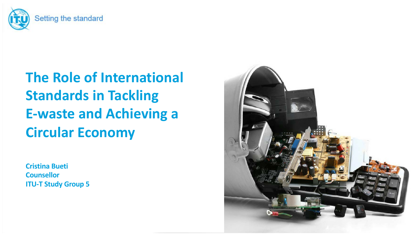

# **The Role of International Standards in Tackling E-waste and Achieving a Circular Economy**

**Cristina Bueti Counsellor ITU-T Study Group 5**

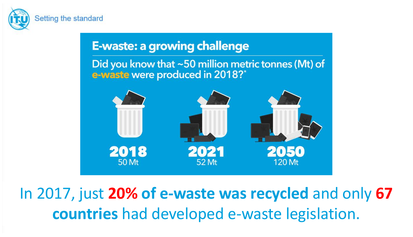

### **E-waste: a growing challenge**

Did you know that  $\sim$  50 million metric tonnes (Mt) of e-waste were produced in 2018?\*



In 2017, just **20% of e-waste was recycled** and only **67 countries** had developed e-waste legislation.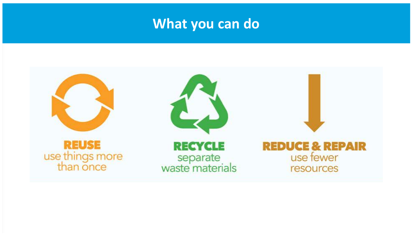### **What you can do**

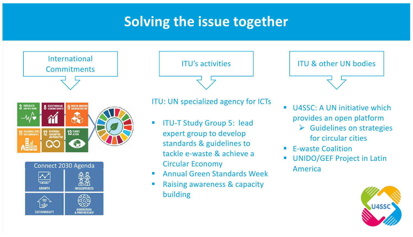## **Solving the issue together**





ITU's activities

### ITU: UN specialized agency for ICTs

- **ITU-T Study Group 5: lead** expert group to develop standards & guidelines to tackle e-waste & achieve a Circular Economy
- Annual Green Standards Week
- Raising awareness & capacity building

#### ITU & other UN bodies



- $\triangleright$  Guidelines on strategies for circular cities
- E-waste Coalition
- UNIDO/GEF Project in Latin America

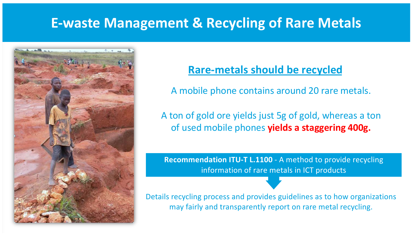### **E-waste Management & Recycling of Rare Metals**



### **Rare-metals should be recycled**

A mobile phone contains around 20 rare metals.

A ton of gold ore yields just 5g of gold, whereas a ton of used mobile phones **yields a staggering 400g.**

**Recommendation ITU-T L.1100** - A method to provide recycling information of rare metals in ICT products

Details recycling process and provides guidelines as to how organizations may fairly and transparently report on rare metal recycling.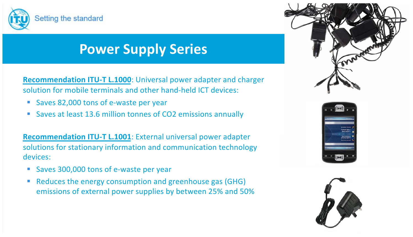

## **Power Supply Series**

§ **Recommendation ITU-T L.1000**: Universal power adapter and charger solution for mobile terminals and other hand-held ICT devices:

- Saves 82,000 tons of e-waste per year
- Saves at least 13.6 million tonnes of CO2 emissions annually

§ **Recommendation ITU-T L.1001**: External universal power adapter solutions for stationary information and communication technology devices:

- § Saves 300,000 tons of e-waste per year
- Reduces the energy consumption and greenhouse gas (GHG) emissions of external power supplies by between 25% and 50%





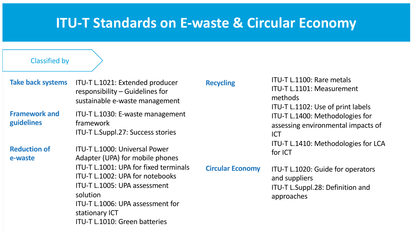### **ITU-T Standards on E-waste & Circular Economy**

#### Classified by

**Take back systems** ITU-T L.1021: Extended producer responsibility – Guidelines for sustainable e-waste management

**Framework and guidelines**

ITU-T L.1030: E-waste management framework ITU-T L.Suppl.27: Success stories

**Reduction of e-waste**

ITU-T L.1000: Universal Power Adapter (UPA) for mobile phones ITU-T L.1001: UPA for fixed terminals ITU-T L.1002: UPA for notebooks ITU-T L.1005: UPA assessment solution ITU-T L.1006: UPA assessment for stationary ICT ITU-T L.1010: Green batteries

**Recycling ITU-T L.1100: Rare metals** ITU-T L.1101: Measurement methods ITU-T L.1102: Use of print labels ITU-T L.1400: Methodologies for assessing environmental impacts of ICT ITU-T L.1410: Methodologies for LCA for ICT

**Circular Economy** ITU-T L.1020: Guide for operators and suppliers ITU-T L.Suppl.28: Definition and approaches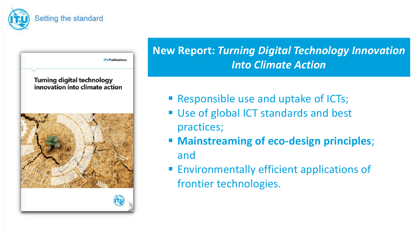

### **New Report:** *Turning Digital Technology Innovation Into Climate Action*

- Responsible use and uptake of ICTs;
- Use of global ICT standards and best practices;
- § **Mainstreaming of eco-design principles**; and
- Environmentally efficient applications of frontier technologies.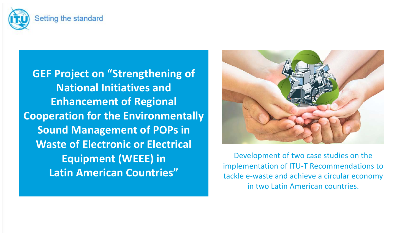

**GEF Project on "Strengthening of National Initiatives and Enhancement of Regional Cooperation for the Environmentally Sound Management of POPs in Waste of Electronic or Electrical Equipment (WEEE) in Latin American Countries"**



Development of two case studies on the implementation of ITU-T Recommendations to tackle e-waste and achieve a circular economy in two Latin American countries.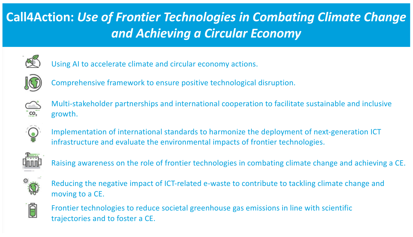## **Call4Action:** *Use of Frontier Technologies in Combating Climate Change and Achieving a Circular Economy*



Using AI to accelerate climate and circular economy actions.



Comprehensive framework to ensure positive technological disruption.



Multi-stakeholder partnerships and international cooperation to facilitate sustainable and inclusive growth.



Implementation of international standards to harmonize the deployment of next-generation ICT infrastructure and evaluate the environmental impacts of frontier technologies.



Raising awareness on the role of frontier technologies in combating climate change and achieving a CE.



Reducing the negative impact of ICT-related e-waste to contribute to tackling climate change and moving to a CE.



Frontier technologies to reduce societal greenhouse gas emissions in line with scientific trajectories and to foster a CE.